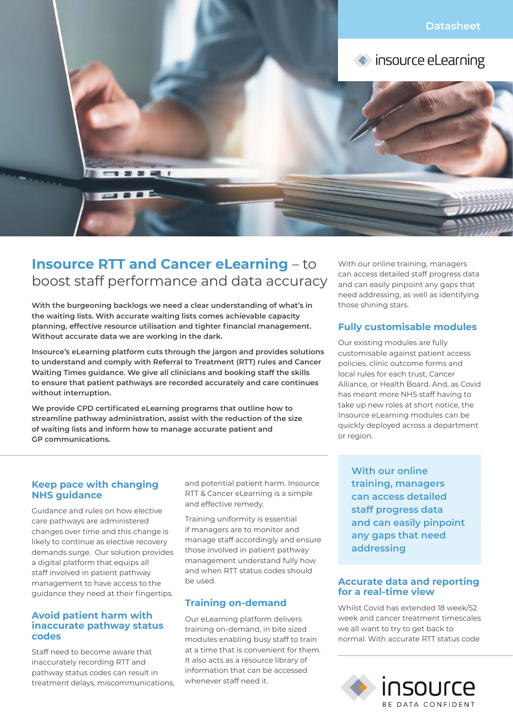

# **Insource RTT and Cancer eLearning** – to boost staff performance and data accuracy

**With the burgeoning backlogs we need a clear understanding of what's in the waiting lists. With accurate waiting lists comes achievable capacity planning, effective resource utilisation and tighter financial management. Without accurate data we are working in the dark.**

**Insource's eLearning platform cuts through the jargon and provides solutions to understand and comply with Referral to Treatment (RTT) rules and Cancer Waiting Times guidance. We give all clinicians and booking staff the skills to ensure that patient pathways are recorded accurately and care continues without interruption.**

**We provide CPD certificated eLearning programs that outline how to streamline pathway administration, assist with the reduction of the size of waiting lists and inform how to manage accurate patient and GP communications.**

With our online training, managers can access detailed staff progress data and can easily pinpoint any gaps that need addressing, as well as identifying those shining stars.

## **Fully customisable modules**

Our existing modules are fully customisable against patient access policies, clinic outcome forms and local rules for each trust, Cancer Alliance, or Health Board. And, as Covid has meant more NHS staff having to take up new roles at short notice, the Insource eLearning modules can be quickly deployed across a department or region.

#### **Keep pace with changing NHS guidance**

Guidance and rules on how elective care pathways are administered changes over time and this change is likely to continue as elective recovery demands surge. Our solution provides a digital platform that equips all staff involved in patient pathway management to have access to the guidance they need at their fingertips.

#### **Avoid patient harm with inaccurate pathway status codes**

Staff need to become aware that inaccurately recording RTT and pathway status codes can result in treatment delays, miscommunications, and potential patient harm. Insource RTT & Cancer eLearning is a simple and effective remedy.

Training uniformity is essential if managers are to monitor and manage staff accordingly and ensure those involved in patient pathway management understand fully how and when RTT status codes should be used.

## **Training on-demand**

Our eLearning platform delivers training on-demand, in bite sized modules enabling busy staff to train at a time that is convenient for them. It also acts as a resource library of information that can be accessed whenever staff need it.

**With our online training, managers can access detailed staff progress data and can easily pinpoint any gaps that need addressing**

## **Accurate data and reporting for a real-time view**

Whilst Covid has extended 18 week/52 week and cancer treatment timescales we all want to try to get back to normal. With accurate RTT status code